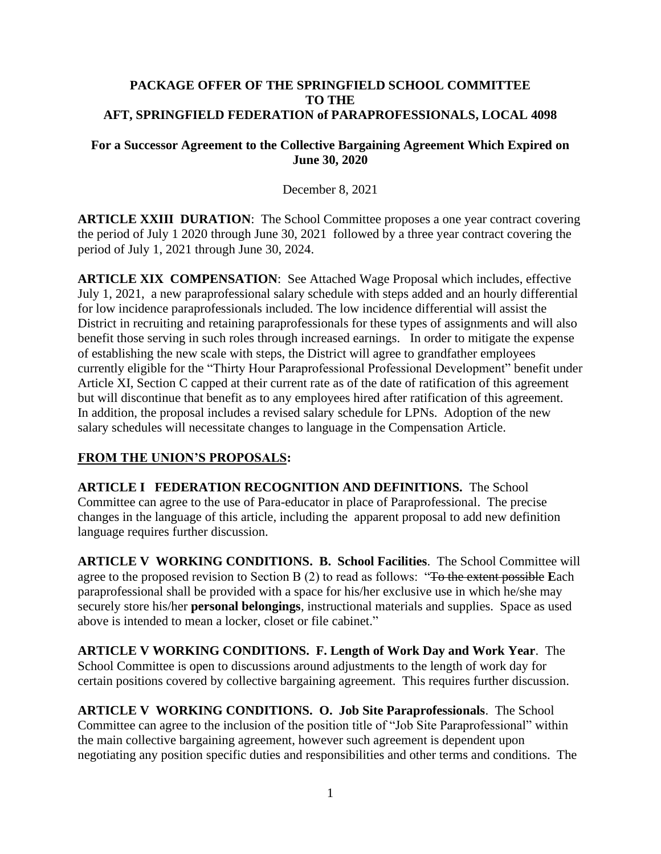### **PACKAGE OFFER OF THE SPRINGFIELD SCHOOL COMMITTEE TO THE AFT, SPRINGFIELD FEDERATION of PARAPROFESSIONALS, LOCAL 4098**

### **For a Successor Agreement to the Collective Bargaining Agreement Which Expired on June 30, 2020**

## December 8, 2021

**ARTICLE XXIII DURATION:** The School Committee proposes a one year contract covering the period of July 1 2020 through June 30, 2021 followed by a three year contract covering the period of July 1, 2021 through June 30, 2024.

**ARTICLE XIX COMPENSATION**: See Attached Wage Proposal which includes, effective July 1, 2021, a new paraprofessional salary schedule with steps added and an hourly differential for low incidence paraprofessionals included. The low incidence differential will assist the District in recruiting and retaining paraprofessionals for these types of assignments and will also benefit those serving in such roles through increased earnings. In order to mitigate the expense of establishing the new scale with steps, the District will agree to grandfather employees currently eligible for the "Thirty Hour Paraprofessional Professional Development" benefit under Article XI, Section C capped at their current rate as of the date of ratification of this agreement but will discontinue that benefit as to any employees hired after ratification of this agreement. In addition, the proposal includes a revised salary schedule for LPNs. Adoption of the new salary schedules will necessitate changes to language in the Compensation Article.

## **FROM THE UNION'S PROPOSALS:**

**ARTICLE I FEDERATION RECOGNITION AND DEFINITIONS.** The School Committee can agree to the use of Para-educator in place of Paraprofessional. The precise changes in the language of this article, including the apparent proposal to add new definition language requires further discussion.

**ARTICLE V WORKING CONDITIONS. B. School Facilities**. The School Committee will agree to the proposed revision to Section B (2) to read as follows: "To the extent possible **E**ach paraprofessional shall be provided with a space for his/her exclusive use in which he/she may securely store his/her **personal belongings**, instructional materials and supplies. Space as used above is intended to mean a locker, closet or file cabinet."

**ARTICLE V WORKING CONDITIONS. F. Length of Work Day and Work Year**. The School Committee is open to discussions around adjustments to the length of work day for certain positions covered by collective bargaining agreement. This requires further discussion.

**ARTICLE V WORKING CONDITIONS. O. Job Site Paraprofessionals**. The School Committee can agree to the inclusion of the position title of "Job Site Paraprofessional" within the main collective bargaining agreement, however such agreement is dependent upon negotiating any position specific duties and responsibilities and other terms and conditions. The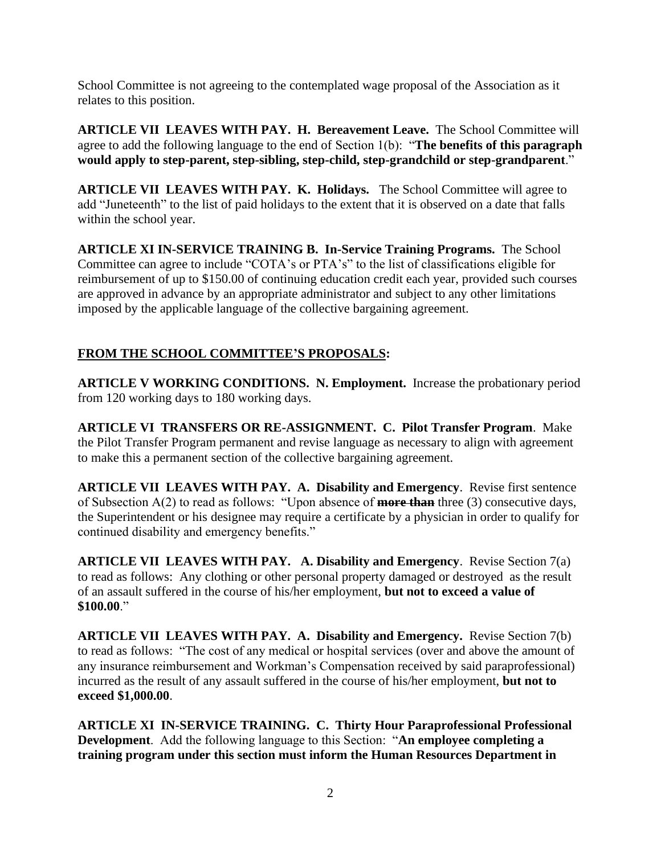School Committee is not agreeing to the contemplated wage proposal of the Association as it relates to this position.

**ARTICLE VII LEAVES WITH PAY. H. Bereavement Leave.** The School Committee will agree to add the following language to the end of Section 1(b): "**The benefits of this paragraph would apply to step-parent, step-sibling, step-child, step-grandchild or step-grandparent**."

**ARTICLE VII LEAVES WITH PAY. K. Holidays.** The School Committee will agree to add "Juneteenth" to the list of paid holidays to the extent that it is observed on a date that falls within the school year.

**ARTICLE XI IN-SERVICE TRAINING B. In-Service Training Programs.** The School Committee can agree to include "COTA's or PTA's" to the list of classifications eligible for reimbursement of up to \$150.00 of continuing education credit each year, provided such courses are approved in advance by an appropriate administrator and subject to any other limitations imposed by the applicable language of the collective bargaining agreement.

# **FROM THE SCHOOL COMMITTEE'S PROPOSALS:**

**ARTICLE V WORKING CONDITIONS. N. Employment.** Increase the probationary period from 120 working days to 180 working days.

**ARTICLE VI TRANSFERS OR RE-ASSIGNMENT. C. Pilot Transfer Program**. Make the Pilot Transfer Program permanent and revise language as necessary to align with agreement to make this a permanent section of the collective bargaining agreement.

**ARTICLE VII LEAVES WITH PAY. A. Disability and Emergency**. Revise first sentence of Subsection A(2) to read as follows: "Upon absence of **more than** three (3) consecutive days, the Superintendent or his designee may require a certificate by a physician in order to qualify for continued disability and emergency benefits."

**ARTICLE VII LEAVES WITH PAY. A. Disability and Emergency**. Revise Section 7(a) to read as follows: Any clothing or other personal property damaged or destroyed as the result of an assault suffered in the course of his/her employment, **but not to exceed a value of \$100.00**."

**ARTICLE VII LEAVES WITH PAY. A. Disability and Emergency.** Revise Section 7(b) to read as follows: "The cost of any medical or hospital services (over and above the amount of any insurance reimbursement and Workman's Compensation received by said paraprofessional) incurred as the result of any assault suffered in the course of his/her employment, **but not to exceed \$1,000.00**.

**ARTICLE XI IN-SERVICE TRAINING. C. Thirty Hour Paraprofessional Professional Development**. Add the following language to this Section: "**An employee completing a training program under this section must inform the Human Resources Department in**